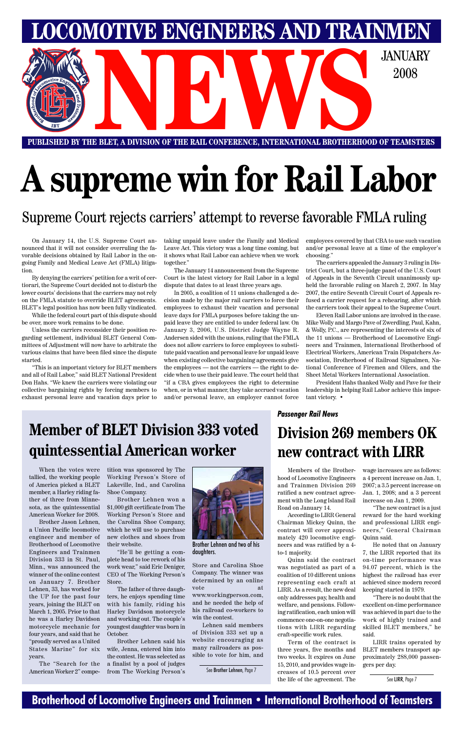### **Brotherhood of Locomotive Engineers and Trainmen • International Brotherhood of Teamsters**

**PUBLISHED BY THE BLET, A DIVISION OF THE RAIL CONFERENCE, INTERNATIONAL BROTHERHOOD OF TEAMSTERS** E BLET, A DIVISION OF THE RAIL CONFERENCE, INTERNATIONAL BROTHERHOOD OF TEAMSTER

**LOMOTIVE ENGINEERS AND TRAINMEN** 

2008

# **A supreme win for Rail Labor**

### Supreme Court rejects carriers' attempt to reverse favorable FMLA ruling

On January 14, the U.S. Supreme Court announced that it will not consider overruling the favorable decisions obtained by Rail Labor in the ongoing Family and Medical Leave Act (FMLA) litigation.

By denying the carriers' petition for a writ of certiorari, the Supreme Court decided not to disturb the lower courts' decisions that the carriers may not rely on the FMLA statute to override BLET agreements. BLET's legal position has now been fully vindicated.

While the federal court part of this dispute should be over, more work remains to be done.

Unless the carriers reconsider their position regarding settlement, individual BLET General Committees of Adjustment will now have to arbitrate the various claims that have been filed since the dispute started.

"This is an important victory for BLET members and all of Rail Labor," said BLET National President Don Hahs. "We knew the carriers were violating our collective bargaining rights by forcing members to exhaust personal leave and vacation days prior to taking unpaid leave under the Family and Medical Leave Act. This victory was a long time coming, but it shows what Rail Labor can achieve when we work together."

The January 14 announcement from the Supreme Court is the latest victory for Rail Labor in a legal dispute that dates to at least three years ago.

In 2005, a coalition of 11 unions challenged a decision made by the major rail carriers to force their employees to exhaust their vacation and personal leave days for FMLA purposes before taking the unpaid leave they are entitled to under federal law. On January 3, 2006, U.S. District Judge Wayne R. Andersen sided with the unions, ruling that the FMLA does not allow carriers to force employees to substitute paid vacation and personal leave for unpaid leave when existing collective bargaining agreements give the employees — not the carriers — the right to decide when to use their paid leave. The court held that "if a CBA gives employees the right to determine when, or in what manner, they take accrued vacation and/or personal leave, an employer cannot force employees covered by that CBA to use such vacation and/or personal leave at a time of the employer's choosing."

The carriers appealed the January 3 ruling in District Court, but a three-judge panel of the U.S. Court of Appeals in the Seventh Circuit unanimously upheld the favorable ruling on March 2, 2007. In May 2007, the entire Seventh Circuit Court of Appeals refused a carrier request for a rehearing, after which the carriers took their appeal to the Supreme Court.

Eleven Rail Labor unions are involved in the case. Mike Wolly and Margo Pave of Zwerdling, Paul, Kahn, & Wolly, P.C., are representing the interests of six of the 11 unions — Brotherhood of Locomotive Engineers and Trainmen, International Brotherhood of Electrical Workers, American Train Dispatchers Association, Brotherhood of Railroad Signalmen, National Conference of Firemen and Oilers, and the Sheet Metal Workers International Association.

President Hahs thanked Wolly and Pave for their leadership in helping Rail Labor achieve this important victory. •

## **Division 269 members OK new contract with LIRR**

#### *Passenger Rail News*

## **Member of BLET Division 333 voted quintessential American worker**

Members of the Brotherhood of Locomotive Engineers and Trainmen Division 269 ratified a new contract agreement with the Long Island Rail Road on January 14.

According to LIRR General Chairman Mickey Quinn, the contract will cover approximately 420 locomotive engineers and was ratified by a 4 to-1 majority.

Quinn said the contract was negotiated as part of a coalition of 10 different unions representing each craft at LIRR. As a result, the new deal only addresses pay, health and welfare, and pensions. Following ratification, each union will commence one-on-one negotiations with LIRR regarding craft-specific work rules.

Term of the contract is three years, five months and two weeks. It expires on June 15, 2010, and provides wage increases of 10.5 percent over the life of the agreement. The wage increases are as follows: a 4 percent increase on Jan. 1, 2007; a 3.5 percent increase on Jan. 1, 2008; and a 3 percent increase on Jan 1, 2009.

"The new contract is a just reward for the hard working and professional LIRR engineers," General Chairman

Quinn said.

He noted that on January 7, the LIRR reported that its on-time performance was 94.07 percent, which is the highest the railroad has ever achieved since modern record keeping started in 1979.

"There is no doubt that the excellent on-time performance was achieved in part due to the work of highly trained and skilled BLET members," he said.

LIRR trains operated by BLET members transport approximately 288,000 passengers per day.

See LIRR, Page 7

When the votes were tallied, the working people of America picked a BLET member, a Harley riding father of three from Minnesota, as the quintessential American Worker for 2008.

Brother Jason Lehnen, a Union Pacific locomotive engineer and member of Brotherhood of Locomotive Engineers and Trainmen Division 333 in St. Paul, Minn., was announced the winner of the online contest on January 7. Brother Lehnen, 33, has worked for the UP for the past four years, joining the BLET on March 1, 2005. Prior to that he was a Harley Davidson motorcycle mechanic for four years, and said that he "proudly served as a United States Marine" for six years.

The "Search for the American Worker 2" competition was sponsored by The Working Person's Store of Lakeville, Ind., and Carolina Shoe Company.

Brother Lehnen won a \$1,000 gift certificate from The Working Person's Store and the Carolina Shoe Company, which he will use to purchase new clothes and shoes from their website.



"He'll be getting a complete head to toe rework of his work wear," said Eric Deniger, CEO of The Working Person's Store.

The father of three daughters, he enjoys spending time with his family, riding his Harley Davidson motorcycle and working out. The couple's youngest daughter was born in October.

Brother Lehnen said his wife, Jenna, entered him into the contest. He was selected as a finalist by a pool of judges from The Working Person's

Store and Carolina Shoe Company. The winner was determined by an online vote at

www.workingperson.com, and he needed the help of his railroad co-workers to win the contest.

Lehnen said members of Division 333 set up a website encouraging as many railroaders as possible to vote for him, and

Brother Lehnen and two of his daughters.

See Brother Lehnen, Page 7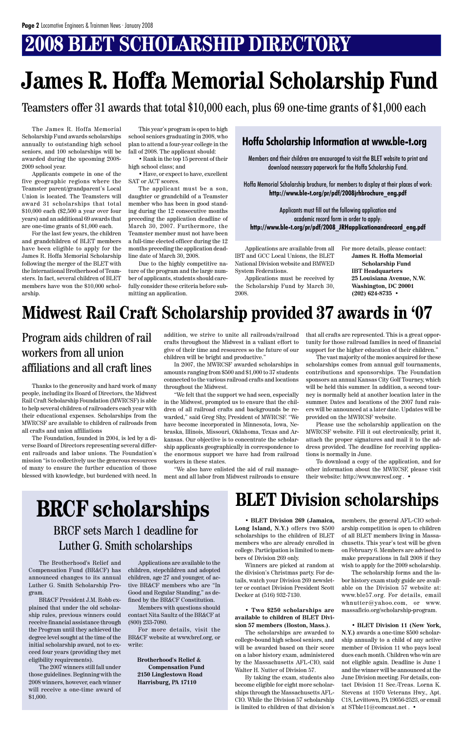## **2008 BLET SCHOLARSHIP DIRECTORY**

The James R. Hoffa Memorial Scholarship Fund awards scholarships annually to outstanding high school seniors, and 100 scholarships will be awarded during the upcoming 2008- 2009 school year.

Applicants compete in one of the five geographic regions where the Teamster parent/grandparent's Local Union is located. The Teamsters will award 31 scholarships that total \$10,000 each (\$2,500 a year over four years) and an additional 69 awards that are one-time grants of \$1,000 each.

For the last few years, the children and grandchildren of BLET members have been eligible to apply for the James R. Hoffa Memorial Scholarship following the merger of the BLET with the International Brotherhood of Teamsters. In fact, several children of BLET members have won the \$10,000 scholarship.

This year's program is open to high school seniors graduating in 2008, who plan to attend a four-year college in the fall of 2008. The applicant should:

• Rank in the top 15 percent of their high school class; and

• Have, or expect to have, excellent SAT or ACT scores.

The applicant must be a son, daughter or grandchild of a Teamster member who has been in good standing during the 12 consecutive months preceding the application deadline of March 30, 2007. Furthermore, the Teamster member must not have been a full-time elected officer during the 12 months preceding the application deadline date of March 30, 2008.

Due to the highly competitive nature of the program and the large number of applicants, students should carefully consider these criteria before submitting an application.

Applications are available from all IBT and GCC Local Unions, the BLET National Division website and BMWED System Federations.

Applications must be received by the Scholarship Fund by March 30, 2008.

## **James R. Hoffa Memorial Scholarship Fund**

For more details, please contact: **James R. Hoffa Memorial Scholarship Fund IBT Headquarters 25 Louisiana Avenue, N.W. Washington, DC 20001 (202) 624-8735 •**

Members and their children are encouraged to visit the BLET website to print and download necessary paperwork for the Hoffa Scholarship Fund.

Hoffa Memorial Scholarship brochure, for members to display at their places of work: **http://www.ble-t.org/pr/pdf/2008jrhbrochure\_eng.pdf**

Applicants must fill out the following application and academic record form in order to apply: **http://www.ble-t.org/pr/pdf/2008\_JRHapplicationandrecord\_eng.pdf**

### **Hoffa Scholarship Information at www.ble-t.org**

Teamsters offer 31 awards that total \$10,000 each, plus 69 one-time grants of \$1,000 each

Thanks to the generosity and hard work of many people, including its Board of Directors, the Midwest Rail Craft Scholarship Foundation (MWRCSF) is able to help several children of railroaders each year with their educational expenses. Scholarships from the MWRCSF are available to children of railroads from all crafts and union affiliations

The Foundation, founded in 2004, is led by a diverse Board of Directors representing several different railroads and labor unions. The Foundation's mission "is to collectively use the generous resources of many to ensure the further education of those blessed with knowledge, but burdened with need. In addition, we strive to unite all railroads/railroad crafts throughout the Midwest in a valiant effort to give of their time and resources so the future of our children will be bright and productive."

In 2007, the MWRCSF awarded scholarships in amounts ranging from \$500 and \$1,000 to 37 students connected to the various railroad crafts and locations throughout the Midwest.

"We felt that the support we had seen, especially in the Midwest, prompted us to ensure that the children of all railroad crafts and backgrounds be rewarded," said Greg Shy, President of MWRCSF. "We have become incorporated in Minnesota, Iowa, Nebraska, Illinois, Missouri, Oklahoma, Texas and Arkansas. Our objective is to concentrate the scholarship applicants geographically in correspondence to the enormous support we have had from railroad workers in these states.

"We also have enlisted the aid of rail management and all labor from Midwest railroads to ensure

that all crafts are represented. This is a great opportunity for those railroad families in need of financial support for the higher education of their children."

The vast majority of the monies acquired for these scholarships comes from annual golf tournaments, contributions and sponsorships. The Foundation sponsors an annual Kansas City Golf Tourney, which will be held this summer. In addition, a second tourney is normally held at another location later in the summer. Dates and locations of the 2007 fund raisers will be announced at a later date. Updates will be provided on the MWRCSF website.

Please use the scholarship application on the MWRCSF website. Fill it out electronically, print it, attach the proper signatures and mail it to the address provided. The deadline for receiving applications is normally in June.

To download a copy of the application, and for other information about the MWRCSF, please visit their website: http://www.mwrcsf.org . •

## **Midwest Rail Craft Scholarship provided 37 awards in '07**

### Program aids children of rail workers from all union affiliations and all craft lines

## **BLET Division scholarships**

**Long Island, N.Y.)** offers two \$500 arship competition is open to children scholarships to the children of BLET of all BLET members living in Massamembers who are already enrolled in college. Participation is limited to members of Division 269 only. Winners are picked at random at the division's Christmas party. For details, watch your Division 269 newsletter or contact Division President Scott Decker at (516) 932-7130.

#### • **Two \$250 scholarships are available to children of BLET Division 57 members (Boston, Mass.).**

• **BLET Division 269 (Jamaica,** members, the general AFL-CIO scholchusetts. This year's test will be given on February 6. Members are advised to make preparations in fall 2008 if they wish to apply for the 2009 scholarship.

The scholarships are awarded to college-bound high school seniors, and will be awarded based on their score on a labor history exam, administered by the Massachusetts AFL-CIO, said Walter H. Nutter of Division 57.

By taking the exam, students also become eligible for eight more scholarships through the Massachusetts AFL-CIO. While the Division 57 scholarship is limited to children of that division's

The scholarship forms and the labor history exam study guide are available on the Division 57 website at: www.ble57.org. For details, email whnutter@yahoo.com, or www. massaflcio.org/scholarship-program.

• **BLET Division 11 (New York, N.Y.)** awards a one-time \$500 scholarship annually to a child of any active member of Division 11 who pays local dues each month. Children who win are not eligible again. Deadline is June 1 and the winner will be announced at the June Division meeting. For details, contact Division 11 Sec.-Treas. Lorna K. Stevens at 1970 Veterans Hwy., Apt. C18, Levittown, PA 19056-2523, or email at STble11@comcast.net . •

BRCF sets March 1 deadline for

### Luther G. Smith scholarships

The Brotherhood's Relief and Compensation Fund (BR&CF) has announced changes to its annual Luther G. Smith Scholarship Program.

BR&CF President J.M. Robb explained that under the old scholarship rules, previous winners could receive financial assistance through the Program until they achieved the degree level sought at the time of the initial scholarship award, not to exceed four years (providing they met eligibility requirements).

The 2007 winners still fall under those guidelines. Beginning with the 2008 winners, however, each winner will receive a one-time award of \$1,000.

Applications are available to the children, stepchildren and adopted children, age 27 and younger, of active BR&CF members who are "In Good and Regular Standing," as defined by the BR&CF Constitution.

Members with questions should contact Nita Saultz of the BR&CF at (800) 233-7080.

For more details, visit the BR&CF website at www.brcf.org, or write:

 **Brotherhood's Relief & Compensation Fund 2150 Linglestown Road Harrisburg, PA 17110**

## **BRCF scholarships**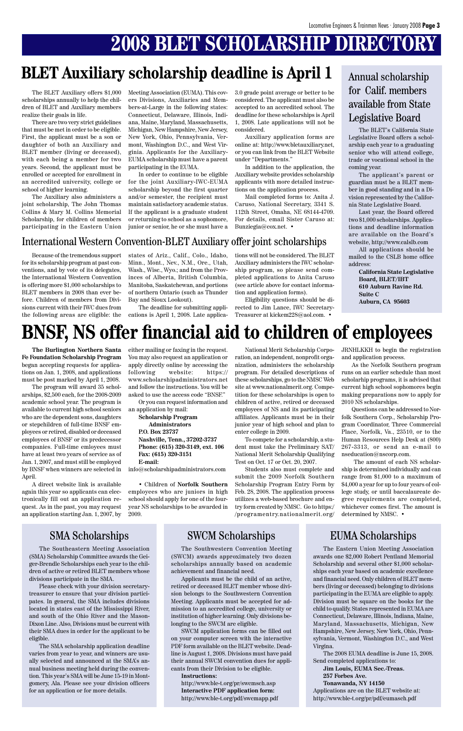## **2008 BLET SCHOLARSHIP DIRECTORY**

The BLET Auxiliary offers \$1,000 scholarships annually to help the children of BLET and Auxiliary members realize their goals in life.

There are two very strict guidelines that must be met in order to be eligible. First, the applicant must be a son or daughter of both an Auxiliary and BLET member (living or deceased), with each being a member for two years. Second, the applicant must be enrolled or accepted for enrollment in an accredited university, college or school of higher learning.

The Auxiliary also administers a joint scholarship, The John Thomas Collins & Mary M. Collins Memorial Scholarship, for children of members participating in the Eastern Union Meeting Association (EUMA). This covers Divisions, Auxiliaries and Members-at-Large in the following states: Connecticut, Delaware, Illinois, Indiana, Maine, Maryland, Massachusetts, Michigan, New Hampshire, New Jersey, New York, Ohio, Pennsylvania, Vermont, Washington D.C., and West Virginia. Applicants for the Auxiliary-EUMA scholarship must have a parent participating in the EUMA.

In order to continue to be eligible for the joint Auxiliary-IWC-EUMA scholarship beyond the first quarter and/or semester, the recipient must maintain satisfactory academic status. If the applicant is a graduate student or returning to school as a sophomore, junior or senior, he or she must have a 3.0 grade point average or better to be considered. The applicant must also be accepted to an accredited school. The deadline for these scholarships is April 1, 2008. Late applications will not be considered.

Auxiliary application forms are online at: http://www.bletauxiliary.net, or you can link from the BLET Website under "Departments."

In addition to the application, the Auxiliary website provides scholarship applicants with more detailed instructions on the application process.

Mail completed forms to: Anita J. Caruso, National Secretary, 3341 S. 112th Street, Omaha, NE 68144-4709. For details, email Sister Caruso at: Bunziegia@cox.net. •

## **BLET Auxiliary scholarship deadline is April 1**

The BLET's California State Legislative Board offers a scholarship each year to a graduating senior who will attend college, trade or vocational school in the coming year.

The applicant's parent or guardian must be a BLET member in good standing and in a Division represented by the California State Legislative Board.

Last year, the Board offered two \$1,000 scholarships. Applications and deadline information are available on the Board's website, http://www.calslb.com

All applications should be mailed to the CSLB home office address:

> **California State Legislative Board, BLET/IBT 610 Auburn Ravine Rd. Suite C Auburn, CA 95603**

### Annual scholarship for Calif. members available from State Legislative Board

**The Burlington Northern Santa Fe Foundation Scholarship Program** began accepting requests for applications on Jan. 1, 2008, and applications must be post marked by April 1, 2008.

The program will award 35 scholarships, \$2,500 each, for the 2008-2009 academic school year. The program is available to current high school seniors who are the dependent sons, daughters or stepchildren of full-time BNSF employees or retired, disabled or deceased employees of BNSF or its predecessor companies. Full-time emloyees must have at least two years of service as of Jan. 1, 2007, and must still be employed by BNSF when winners are selected in April.

A direct website link is available again this year so applicants can electronically fill out an application request. As in the past, you may request an application starting Jan. 1, 2007, by

## **BNSF, NS offer financial aid to children of employees**

either mailing or faxing in the request. You may also request an application or apply directly online by accessing the following website: https:// www.scholarshipadministrators.net and follow the instructions. You will be asked to use the access code "BNSF."

Or you can request information and an application by mail:

**Scholarship Program Administrators P.O. Box 23737 Nashville, Tenn., 37202-3737 Phone: (615) 320-3149, ext. 106 Fax: (615) 320-3151 E-mail:**

info@scholarshipadministrators.com

• Children of **Norfolk Southern** employees who are juniors in high school should apply for one of the fouryear NS scholarships to be awarded in 2009.

National Merit Scholarship Corporation, an independent, nonprofit organization, administers the scholarship program. For detailed descriptions of these scholarships, go to the NMSC Web site at www.nationalmerit.org. Competition for these scholarships is open to children of active, retired or deceased employees of NS and its participating affiliates. Applicants must be in their junior year of high school and plan to enter college in 2009.

To compete for a scholarship, a student must take the Preliminary SAT/ National Merit Scholarship Qualifying Test on Oct. 17 or Oct. 20, 2007.

Students also must complete and submit the 2009 Norfolk Southern Scholarship Program Entry Form by Feb. 28, 2008. The application process utilizes a web-based brochure and entry form created by NMSC. Go to https:/ /programentry.nationalmerit.org/ JRNHLKKH to begin the registration and application process.

As the Norfolk Southern program runs on an earlier schedule than most scholarhip programs, it is advised that current high school sophomores begin making preparations now to apply for 2010 NS scholarships.

Questions can be addressed to Norfolk Southern Corp., Scholarship Program Coordinator, Three Commercial Place, Norfolk, Va., 23510, or to the Human Resources Help Desk at (800) 267-3313, or send an e-mail to nseducation@nscorp.com.

 The amount of each NS scholarship is determined individually and can range from \$1,000 to a maximum of \$4,000 a year for up to four years of college study, or until baccalaureate degree requirements are completed, whichever comes first. The amount is determined by NMSC. •

### SMA Scholarships SWCM Scholarships EUMA Scholarships

The Eastern Union Meeting Association awards one \$2,000 Robert Pentland Memorial Scholarship and several other \$1,000 scholarships each year based on academic excellence and financial need. Only children of BLET members (living or deceased) belonging to divisions participating in the EUMA are eligible to apply. Division must be square on the books for the child to qualify. States represented in EUMA are Connecticut, Delaware, Illinois, Indiana, Maine, Maryland, Massachusetts, Michigan, New Hampshire, New Jersey, New York, Ohio, Pennsylvania, Vermont, Washington D.C., and West Virgina.

The 2008 EUMA deadline is June 15, 2008. Send completed applications to:

**Jim Louis, EUMA Sec.-Treas. 257 Forbes Ave. Tonawanda, NY 14150** Applications are on the BLET website at: http://www.ble-t.org/pr/pdf/eumasch.pdf

The Southeastern Meeting Association (SMA) Scholarship Committee awards the Geiger-Brendle Scholarships each year to the children of active or retired BLET members whose divisions participate in the SMA.

Please check with your division secretarytreasurer to ensure that your division participates. In general, the SMA includes divisions located in states east of the Mississippi River, and south of the Ohio River and the Mason-Dixon Line. Also, Divisions must be current with their SMA dues in order for the applicant to be eligible.

The SMA scholarship application deadline varies from year to year, and winners are usually selected and announced at the SMA's annual business meeting held during the convention. This year's SMA will be June 15-19 in Montgomery, Ala. Please see your division officers for an application or for more details.

The Southwestern Convention Meeting (SWCM) awards approximately two dozen scholarships annually based on academic achievement and financial need.

Applicants must be the child of an active, retired or deceased BLET member whose division belongs to the Southwestern Convention Meeting. Applicants must be accepted for admission to an accredited college, university or institution of higher learning. Only divisions belonging to the SWCM are eligible.

SWCM application forms can be filled out on your computer screen with the interactive PDF form available on the BLET website. Deadline is August 1, 2008. Divisions must have paid their annual SWCM convention dues for applicants from their Division to be eligible.

#### **Instructions:**

http://www.ble-t.org/pr/swcmsch.asp **Interactive PDF application form:** http://www.ble-t.org/pdf/swcmapp.pdf

### International Western Convention-BLET Auxiliary offer joint scholarships

Because of the tremendous support for its scholarship program at past conventions, and by vote of its delegates, the International Western Convention is offering more \$1,000 scholarships to BLET members in 2008 than ever before. Children of members from Divisions current with their IWC dues from the following areas are eligible: the states of Ariz., Calif., Colo., Idaho, Minn., Mont., Nev., N.M., Ore., Utah, Wash., Wisc., Wyo.; and from the Provinces of Alberta, British Columbia, Manitoba, Saskatchewan, and portions of northern Ontario (such as Thunder Bay and Sioux Lookout).

The deadline for submitting applications is April 1, 2008. Late applications will not be considered. The BLET Auxiliary administers the IWC scholarship program, so please send completed applications to Anita Caruso (see article above for contact information and application forms).

Eligibility questions should be directed to Jim Lance, IWC Secretary-Treasurer at kickem228@aol.com. •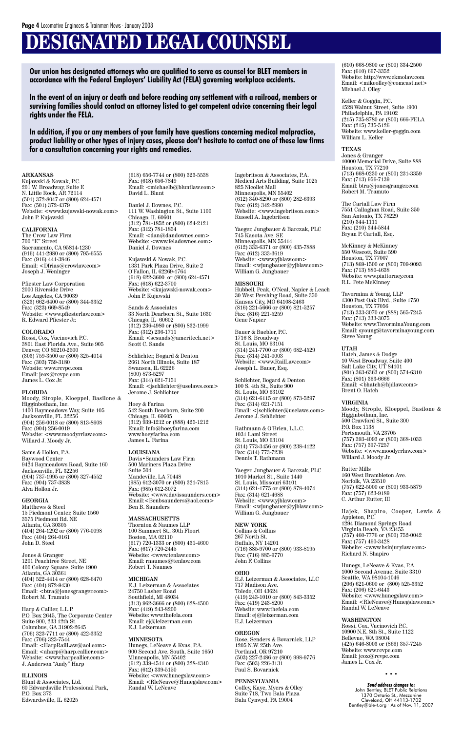## **DESIGNATED LEGAL COUNSEL**

#### **ARKANSAS**

Kujawski & Nowak, P.C. 201 W. Broadway, Suite E N. Little Rock, AR 72114 (501) 372-8047 or (800) 624-4571 Fax: (501) 372-4379 Website: <www.kujawski-nowak.com> John P. Kujawski

#### **CALIFORNIA**

The Crow Law Firm 700 "E" Street Sacramento, CA 95814-1230 (916) 441-2980 or (800) 795-6555 Fax: (916) 441-3846 Email: <Dfrias@crowlaw.com> Joseph J. Weninger

Pfiester Law Corporation 2000 Riverside Drive Los Angeles, CA 90039 (323) 662-6400 or (800) 344-3352 Fax: (323) 669-8549 Website: <www.pfiesterlaw.com> R. Edward Pfiester Jr.

#### **COLORADO**

Rossi, Cox, Vucinovich P.C. 3801 East Florida Ave., Suite 905 Denver, CO 80210-2500 (303) 759-3500 or (800) 325-4014 Fax: (303) 759-3180 Website: www.rcvpc.com Email: jcox@rcvpc.com James L. Cox Jr.

#### **FLORIDA**

Moody, Strople, Kloeppel, Basilone & Higginbotham, Inc. 1400 Baymeadows Way, Suite 105 Jacksonville, FL 32256 (904) 256-0018 or (800) 813-8608 Fax: (904) 256-0019 Website: <www.moodyrrlaw.com> Willard J. Moody Jr.

Sams & Hollon, P.A. Baywood Center 9424 Baymeadows Road, Suite 160 Jacksonville, FL 32256 (904) 737-1995 or (800) 327-4552 Fax: (904) 737-3838 Alva Hollon Jr.

#### **GEORGIA**

Matthews & Steel 15 Piedmont Center, Suite 1560 3575 Piedmont Rd. NE Atlanta, GA 30305 (404) 264-1292 or (800) 776-0098 Fax: (404) 264-0161 John D. Steel

Jones & Granger 1201 Peachtree Street, NE 400 Colony Square, Suite 1900 Atlanta, GA 30361 (404) 522-4414 or (800) 628-6470 Fax: (404) 872-9430 Email: <btra@jonesgranger.com> Robert M. Tramuto

Harp & Callier, L.L.P. P.O. Box 2645, The Corporate Center Suite 900, 233 12th St. Columbus, GA 31902-2645 (706) 323-7711 or (800) 422-3352 Fax: (706) 323-7544 Email: <HarpRailLaw@aol.com> Email: <aharp@harp.callier.com> Website: <www.harpcallier.com> J. Anderson "Andy" Harp

#### **ILLINOIS**

Blunt & Associates, Ltd. 60 Edwardsville Professional Park, P.O. Box 373 Edwardsville, IL 62025

(618) 656-7744 or (800) 323-5538 Fax: (618) 656-7849 Email: <michaelb@bluntlaw.com> David L. Blunt

Daniel J. Downes, P.C. 111 W. Washington St., Suite 1100 Chicago, IL 60601 (312) 781-1852 or (800) 624-2121 Fax: (312) 781-1854 Email: <dan@dandownes.com> Website: <www.feladownes.com> Daniel J. Downes

Kujawski & Nowak, P.C. 1331 Park Plaza Drive, Suite 2 O'Fallon, IL 62269-1764 (618) 622-3600 or (800) 624-4571 Fax: (618) 622-3700 Website: <kujawski-nowak.com> John P. Kujawski

Sands & Associates 33 North Dearborn St., Suite 1630 Chicago, IL 60602 (312) 236-4980 or (800) 832-1999 Fax: (312) 236-1711 Email: <scsands@ameritech.net> Scott C. Sands

Schlichter, Bogard & Denton 2661 North Illinois, Suite 187 Swansea, IL 62226 (800) 873-5297 Fax: (314) 621-7151 Email: <jschlichter@uselaws.com> Jerome J. Schlichter

Hoey & Farina 542 South Dearborn, Suite 200 Chicago, IL 60605 (312) 939-1212 or (888) 425-1212 Email: Info@hoeyfarina.com www.hoeyfarina.com James L. Farina

**LOUISIANA** Davis•Saunders Law Firm 500 Mariners Plaza Drive Suite 504 Mandeville, LA 70448 (985) 612-3070 or (800) 321-7815 Fax: (985) 612-3072 Website: <www.davissaunders.com> Email:<Benbsaunders@aol.com> Ben B. Saunders

**MASSACHUSETTS** Thornton & Naumes LLP 100 Summert St., 30th Floort Boston, MA 02110 (617) 720-1333 or (800) 431-4600 Fax: (617) 720-2445 Website: <www.tenlaw.com> Email: rnaumes@tenlaw.com Robert T. Naumes

#### **MICHIGAN**

E.J. Leizerman & Associates 24750 Lasher Road Southfield, MI 48034 (313) 962-3666 or (800) 628-4500 Fax: (419) 243-8200 Website: www.thefela.com Email: ej@leizerman.com E.J. Leizerman

#### **MINNESOTA**

Hunegs, LeNeave & Kvas, P.A. 900 Second Ave. South, Suite 1650 Minneapolis, MN 55402 (612) 339-4511 or (800) 328-4340 Fax: (612) 339-5150 Website: <www.hunegslaw.com> Email: <RleNeave@Hunegslaw.com> Randal W. LeNeave

Ingebritson & Associates, P.A. Medical Arts Building, Suite 1025 825 Nicollet Mall Minneapolis, MN 55402 (612) 340-8290 or (800) 282-6393 Fax: (612) 342-2990 Website: <www.ingebritson.com> Russell A. Ingebritson

Yaeger, Jungbauer & Barczak, PLC 745 Kasota Ave. SE Minneapolis, MN 55414 (612) 333-6371 or (800) 435-7888 Fax: (612) 333-3619 Website: <www.yjblaw.com> Email: <wjungbauer@yjblaw.com> William G. Jungbauer

#### **MISSOURI**

John Bentley, BLET Public Relations 1370 Ontario St., Mezzanine Cleveland, OH 44113-1702 Bentley@ble-t.org · As of Nov. 11, 2007

Hubbell, Peak, O'Neal, Napier & Leach 30 West Pershing Road, Suite 350 Kansas City, MO 64108-2463 (816) 221-5666 or (800) 821-5257 Fax: (816) 221-5259 Gene Napier

Bauer & Baebler, P.C. 1716 S. Broadway St. Louis, MO 63104 (314) 241-7700 or (800) 682-4529 Fax: (314) 241-0003 Website: <www.RailLaw.com> Joseph L. Bauer, Esq.

Schlichter, Bogard & Denton 100 S. 4th St., Suite 900 St. Louis, MO 63102 (314) 621-6115 or (800) 873-5297 Fax: (314) 621-7151 Email: <jschlichter@uselaws.com> Jerome J. Schlichter

Rathmann & O'Brien, L.L.C. 1031 Lami Street St. Louis, MO 63104 (314) 773-3456 or (800) 238-4122 Fax: (314) 773-7238 Dennis T. Rathmann

Yaeger, Jungbauer & Barczak, PLC 1010 Market St., Suite 1440 St. Louis, Missouri 63101 (314) 621-1775 or (800) 878-4074  $\text{Fax: } (314) 621 - 4688$ Website: <www.yjblaw.com> Email: <wjungbauer@yjblaw.com> William G. Jungbauer

**NEW YORK** Collins & Collins 267 North St. Buffalo, NY 14201 (716) 885-9700 or (800) 933-8195 Fax: (716) 885-9770 John F. Collins

#### **OHIO**

E.J. Leizerman & Associates, LLC 717 Madison Ave. Toledo, OH 43624 (419) 243-1010 or (800) 843-3352 Fax: (419) 243-8200 Website: www.thefela.com Email: ej@leizerman.com E.J. Leizerman

#### **OREGON**

Rose, Senders & Bovarnick, LLP 1205 N.W. 25th Ave. Portland, OR 97210 (503) 227-2486 or (800) 998-9776 Fax: (503) 226-3131 Paul S. Bovarnick

#### **PENNSYLVANIA**

Coffey, Kaye, Myers & Olley Suite 718, Two Bala Plaza Bala Cynwyd, PA 19004

(610) 668-9800 or (800) 334-2500 Fax: (610) 667-3352 Website: http://www.ckmolaw.com Email:  $<$ mikeolley@comcast.net $>$ Michael J. Olley

#### Keller & Goggin, P.C. 1528 Walnut Street, Suite 1900 Philadelphia, PA 19102 (215) 735-8780 or (800) 666-FELA Fax: (215) 735-5126 Website: www.keller-goggin.com William L. Keller

#### **TEXAS**

Jones & Granger 10000 Memorial Drive, Suite 888 Houston, TX 77210 (713) 668-0230 or (800) 231-3359 Fax: (713) 956-7139 Email: btra@jonesgranger.com Robert M. Tramuto

The Cartall Law Firm 7551 Callaghan Road, Suite 350 San Antonio, TX 78229 (210) 344-1111 Fax: (210) 344-5844 Bryan P. Cartall, Esq.

McKinney & McKinney 550 Wescott, Suite 590 Houston, TX 77007 (713) 869-1500 or (800) 709-9093 Fax: (713) 880-4638 Website: www.piattorney.com R.L. Pete McKinney

Tavormina & Young, LLP 1300 Post Oak Blvd., Suite 1750 Houston, TX 77056 (713) 333-3070 or (888) 565-7245 Fax: (713) 333-3075 Website: www.TavorminaYoung.com Email: syoung@tavorminayoung.com Steve Young

#### **UTAH**

Hatch, James & Dodge 10 West Broadway, Suite 400 Salt Lake City, UT 84101 (801) 363-6363 or (800) 574-6310 Fax: (801) 363-6666 Email: <bhatch@hjdlaw.com> Brent O. Hatch

#### **VIRGINIA**

Moody, Strople, Kloeppel, Basilone & Higginbotham, Inc. 500 Crawford St., Suite 300 P.O. Box 1138 Portsmouth, VA 23705 (757) 393-4093 or (800) 368-1033 Fax: (757) 397-7257 Website: <www.moodyrrlaw.com> Willard J. Moody Jr.

Rutter Mills 160 West Brambleton Ave. Norfolk, VA 23510 (757) 622-5000 or (800) 933-5879 Fax: (757) 623-9189 C. Arthur Rutter, III

Hajek, Shapiro, Cooper, Lewis & Appleton, P.C. 1294 Diamond Springs Road Virginia Beach, VA 23455 (757) 460-7776 or (800) 752-0042 Fax: (757) 460-3428 Website: <www.hsinjurylaw.com> Richard N. Shapiro

Hunegs, LeNeave & Kvas, P.A. 1000 Second Avenue, Suite 3310 Seattle, WA 98104-1046 (206) 621-0600 or (800) 525-3352  $\text{Fax: } (206) 621 - 6443$ Website: <www.hunegslaw.com> Email: <RleNeave@Hunegslaw.com> Randal W. LeNeave

#### **WASHINGTON**

Rossi, Cox, Vucinovich P.C. 10900 N.E. 8th St., Suite 1122 Bellevue, WA 98004 (425) 646-8003 or (866) 357-7245 Website: www.rcvpc.com Email: jcox@rcvpc.com James L. Cox Jr.

• • •

**Our union has designated attorneys who are qualified to serve as counsel for BLET members in accordance with the Federal Employers' Liability Act (FELA) governing workplace accidents.**

**In the event of an injury or death and before reaching any settlement with a railroad, members or surviving families should contact an attorney listed to get competent advice concerning their legal rights under the FELA.**

**In addition, if you or any members of your family have questions concerning medical malpractice, product liability or other types of injury cases, please don't hesitate to contact one of these law firms for a consultation concerning your rights and remedies.**

#### *Send address changes to:*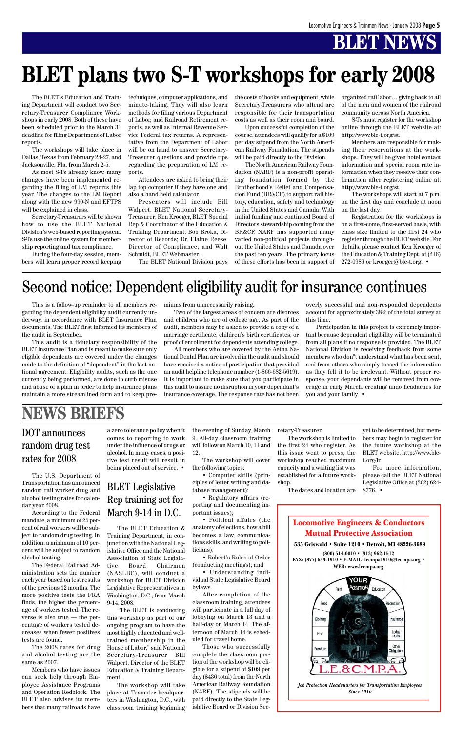### BLET Legislative Rep training set for March 9-14 in D.C.

## **BLET NEWS**

Locomotive Engineers & Conductors Mutual Protective Association



**(800) 514-0010 • (313) 962-1512 FAX: (877) 633-1910 • E-MAIL: lecmpa1910@lecmpa.org • WEB: www.lecmpa.org**



The U.S. Department of Transportation has announced random rail worker drug and alcohol testing rates for calendar year 2008.

According to the Federal mandate, a minimum of 25 percent of rail workers will be subject to random drug testing. In

addition, a minimum of 10 percent will be subject to random alcohol testing.

The Federal Railroad Administration sets the number each year based on test results of the previous 12 months. The more positive tests the FRA finds, the higher the percentage of workers tested. The reverse is also true — the percentage of workers tested decreases when fewer positives tests are found.

The 2008 rates for drug and alcohol testing are the same as 2007.

Members who have issues can seek help through Employee Assistance Programs and Operation Redblock. The BLET also advises its members that many railroads have

This is a follow-up reminder to all members regarding the dependent eligibility audit currently underway, in accordance with BLET Insurance Plan documents. The BLET first informed its members of the audit in September.

This audit is a fiduciary responsibility of the BLET Insurance Plan and is meant to make sure only eligible dependents are covered under the changes made to the definition of "dependent" in the last national agreement. Eligibility audits, such as the one currently being performed, are done to curb misuse and abuse of a plan in order to help insurance plans maintain a more streamlined form and to keep pre-

#### miums from unnecessarily raising.

Two of the largest areas of concern are divorces and children who are of college age. As part of the audit, members may be asked to provide a copy of a marriage certificate, children's birth certificates, or proof of enrollment for dependents attending college.

All members who are covered by the Aetna National Dental Plan are involved in the audit and should have received a notice of participation that provided an audit helpline telephone number (1-866-682-5619). It is important to make sure that you participate in this audit to assure no disruption in your dependant's insurance coverage. The response rate has not been

overly successful and non-responded dependents account for approximately 38% of the total survey at this time.

Participation in this project is extremely important because dependent eligibility will be terminated from all plans if no response is provided. The BLET National Division is receiving feedback from some members who don''t understand what has been sent, and from others who simply tossed the information as they felt it to be irrelevant. Without proper response, your dependants will be removed from coverage in early March, creating undo headaches for you and your family. •

The BLET Education & Training Department, in conjunction with the National Legislative Office and the National Association of State Legislative Board Chairmen (NASLBC), will conduct a workshop for BLET Division Legislative Representatives in Washington, D.C., from March 9-14, 2008. "The BLET is conducting this workshop as part of our ongoing program to have the most highly educated and welltrained membership in the House of Labor," said National Secretary-Treasurer Bill Walpert, Director of the BLET Education & Training Department.

The workshop will take place at Teamster headquarters in Washington, D.C., with classroom training beginning

a zero tolerance policy when it comes to reporting to work under the influence of drugs or alcohol. In many cases, a positive test result will result in being placed out of service. •

## **NEWS BRIEFS**

### DOT announces random drug test rates for 2008

the evening of Sunday, March 9. All-day classroom training will follow on March 10, 11 and 12.

The workshop will cover the following topics:

• Computer skills (principles of letter writing and database management);

• Regulatory affairs (reporting and documenting important issues);

• Political affairs (the anatomy of elections, how a bill becomes a law, communica-

tions skills, and writing to politicians);

• Robert's Rules of Order (conducting meetings); and

• Understanding individual State Legislative Board bylaws.

After completion of the classroom training, attendees will participate in a full day of lobbying on March 13 and a half-day on March 14. The afternoon of March 14 is scheduled for travel home.

Those who successfully complete the classroom portion of the workshop will be eligible for a stipend of \$109 per day (\$436 total) from the North American Railway Foundation (NARF). The stipends will be paid directly to the State Legislative Board or Division Secretary-Treasurer.

The workshop is limited to the first 24 who register. As this issue went to press, the workshop reached maximum capacity and a waiting list was established for a future workshop.

The dates and location are

yet to be determined, but members may begin to register for the future workshop at the BLET website, http://www.blet.org/lr.

For more information, please call the BLET National Legislative Office at (202) 624- 8776. •

## Second notice: Dependent eligibility audit for insurance continues

The BLET's Education and Training Department will conduct two Secretary-Treasurer Compliance Workshops in early 2008. Both of these have been scheduled prior to the March 31 deadline for filing Department of Labor reports.

The workshops will take place in Dallas, Texas from February 24-27, and Jacksonville, Fla. from March 2-5.

As most S-Ts already know, many changes have been implemented regarding the filing of LM reports this year. The changes to the LM Report along with the new 990-N and EFTPS will be explained in class.

Secretary-Treasurers will be shown how to use the BLET National Division's web-based reporting system. S-Ts use the online system for membership reporting and tax compliance.

During the four-day session, members will learn proper record keeping techniques, computer applications, and minute-taking. They will also learn methods for filing various Department of Labor, and Railroad Retirement reports, as well as Internal Revenue Service Federal tax returns. A representative from the Department of Labor will be on hand to answer Secretary-Treasurer questions and provide tips regarding the preparation of LM reports.

Attendees are asked to bring their lap top computer if they have one and also a hand held calculator.

Presenters will include Bill Walpert, BLET National Secretary-Treasurer; Ken Kroeger, BLET Special Rep & Coordinator of the Education & Training Department; Bob Broka, Director of Records; Dr. Elaine Reese, Director of Compliance; and Walt Schmidt, BLET Webmaster.

The BLET National Division pays

the costs of books and equipment, while Secretary-Treasurers who attend are responsible for their transportation costs as well as their room and board.

Upon successful completion of the course, attendees will qualify for a \$109 per day stipend from the North American Railway Foundation. The stipends will be paid directly to the Division.

The North American Railway Foundation (NARF) is a non-profit operating foundation formed by the Brotherhood's Relief and Compensation Fund (BR&CF) to support rail history, education, safety and technology in the United States and Canada. With initial funding and continued Board of Directors stewardship coming from the BR&CF, NARF has supported many varied non-political projects throughout the United States and Canada over the past ten years. The primary focus of these efforts has been in support of organized rail labor… giving back to all of the men and women of the railroad community across North America.

S-Ts must register for the workshop online through the BLET website at: http://www.ble-t.org/st.

Members are responsible for making their reservations at the workshops. They will be given hotel contact information and special room rate information when they receive their confirmation after registering online at: http://www.ble-t.org/st.

The workshops will start at 7 p.m. on the first day and conclude at noon on the last day.

Registration for the workshops is on a first-come, first-served basis, with class size limited to the first 24 who register through the BLET website. For details, please contact Ken Kroeger of the Education & Training Dept. at (216) 272-0986 or kroeger@ble-t.org. •

## **BLET plans two S-T workshops for early 2008**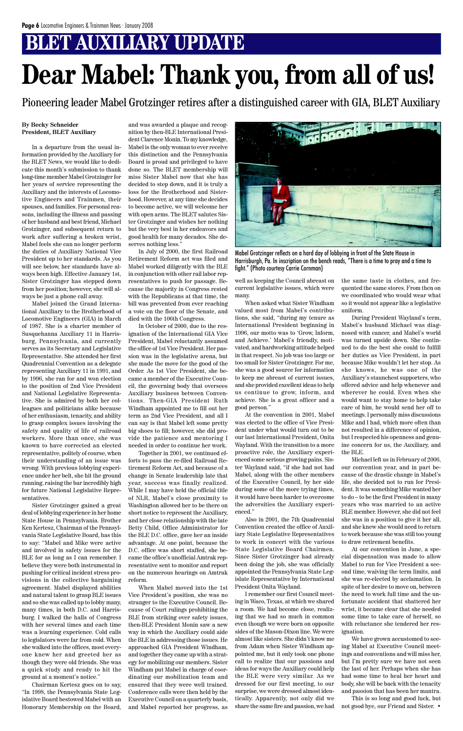## **BLET AUXILIARY UPDATE**

#### **By Becky Schneider President, BLET Auxiliary**

In a departure from the usual information provided by the Auxiliary for the BLET News, we would like to dedicate this month's submission to thank long-time member Mabel Grotzinger for her years of service representing the Auxiliary and the interests of Locomotive Engineers and Trainmen, their spouses, and families. For personal reasons, including the illness and passing of her husband and best friend, Michael Grotzinger, and subsequent return to work after suffering a broken wrist, Mabel feels she can no longer perform the duties of Auxiliary National Vice President up to her standards. As you will see below, her standards have always been high. Effective January 1st, Sister Grotzinger has stepped down from her position; however, she will always be just a phone call away.

Mabel joined the Grand International Auxiliary to the Brotherhood of Locomotive Engineers (GIA) in March of 1987. She is a charter member of Susquehanna Auxiliary 11 in Harrisburg, Pennsylvania, and currently serves as its Secretary and Legislative Representative. She attended her first Quadrennial Convention as a delegate representing Auxiliary 11 in 1991, and by 1996, she ran for and won election to the position of 2nd Vice President and National Legislative Representative. She is admired by both her colleagues and politicians alike because of her enthusiasm, tenacity, and ability to grasp complex issues involving the safety and quality of life of railroad workers. More than once, she was known to have corrected an elected representative, politely of course, when their understanding of an issue was wrong. With previous lobbying experience under her belt, she hit the ground running, raising the bar incredibly high for future National Legislative Representatives.

Sister Grotzinger gained a great deal of lobbying experience in her home State House in Pennsylvania. Brother Ken Kertesz, Chairman of the Pennsylvania State Legislative Board, has this to say: "Mabel and Mike were active and involved in safety issues for the BLE for as long as I can remember. I believe they were both instrumental in pushing for critical incident stress provisions in the collective bargaining agreement. Mabel displayed abilities and natural talent to grasp BLE issues and so she was called up to lobby many, many times, in both D.C. and Harrisburg. I walked the halls of Congress with her several times and each time was a learning experience. Cold calls to legislators were far from cold. When she walked into the offices, most everyone knew her and greeted her as though they were old friends. She was a quick study and ready to hit the ground at a moment's notice." Chairman Kertesz goes on to say, "In 1998, the Pennsylvania State Legislative Board bestowed Mabel with an Honorary Membership on the Board, and was awarded a plaque and recognition by then-BLE International President Clarence Monin. To my knowledge, Mabel is the only woman to ever receive this distinction and the Pennsylvania Board is proud and privileged to have done so. The BLET membership will miss Sister Mabel now that she has decided to step down, and it is truly a loss for the Brotherhood and Sisterhood. However, at any time she decides to become active, we will welcome her with open arms. The BLET salutes Sister Grotzinger and wishes her nothing but the very best in her endeavors and good health for many decades. She deserves nothing less."

In July of 2000, the first Railroad Retirement Reform act was filed and Mabel worked diligently with the BLE in conjunction with other rail labor representatives to push for passage. Because the majority in Congress rested with the Republicans at that time, the bill was prevented from ever reaching a vote on the floor of the Senate, and died with the 106th Congress.

In October of 2000, due to the resignation of the International GIA Vice President, Mabel reluctantly assumed the office of 1st Vice President. Her passion was in the legislative arena, but she made the move for the good of the Order. As 1st Vice President, she became a member of the Executive Council, the governing body that oversees Auxiliary business between Conventions. Then-GIA President Ruth Windham appointed me to fill out her term as 2nd Vice President, and all I can say is that Mabel left some pretty big shoes to fill; however, she did provide the patience and mentoring I needed in order to continue her work.

Together in 2001, we continued efforts to pass the re-filed Railroad Retirement Reform Act, and because of a change in Senate leadership late that year, success was finally realized. While I may have held the official title of NLR, Mabel's close proximity to Washington allowed her to be there on short notice to represent the Auxiliary, and her close relationship with the late Betty Child, Office Administrator for the BLE D.C. office, gave her an inside advantage. At one point, because the D.C. office was short staffed, she became the office's unofficial Amtrak representative sent to monitor and report on the numerous hearings on Amtrak reform. When Mabel moved into the 1st Vice President's position, she was no stranger to the Executive Council. Because of Court rulings prohibiting the BLE from striking over safety issues, then-BLE President Monin saw a new way in which the Auxiliary could aide the BLE in addressing those issues. He approached GIA President Windham, and together they came up with a strategy for mobilizing our members. Sister Windham put Mabel in charge of coordinating our mobilization team and ensured that they were well trained. Conference calls were then held by the Executive Council on a quarterly basis, and Mabel reported her progress, as

well as keeping the Council abreast on current legislative issues, which were many.

When asked what Sister Windham valued most from Mabel's contributions, she said, "during my tenure as International President beginning in 1996, our motto was to 'Grow, Inform, and Achieve.' Mabel's friendly, motivated, and hardworking attitude helped in that respect. No job was too large or too small for Sister Grotzinger. For me, she was a good source for information to keep me abreast of current issues, and she provided excellent ideas to help us continue to grow, inform, and achieve. She is a great officer and a good person."

At the convention in 2001, Mabel was elected to the office of Vice President under what would turn out to be our last International President, Onita Wayland. With the transition to a more proactive role, the Auxiliary experienced some serious growing pains. Sister Wayland said, "if she had not had Mabel, along with the other members of the Executive Council, by her side during some of the more trying times, it would have been harder to overcome the adversities the Auxiliary experienced."

Also in 2001, the 7th Quadrennial Convention created the office of Auxiliary State Legislative Representatives to work in concert with the various State Legislative Board Chairmen. Since Sister Grotzinger had already been doing the job, she was officially appointed the Pennsylvania State Legislate Representative by International President Onita Wayland. I remember our first Council meeting in Waco, Texas, at which we shared a room. We had become close, realizing that we had so much in common even though we were born on opposite sides of the Mason-Dixon line. We were almost like sisters. She didn't know me from Adam when Sister Windham appointed me, but it only took one phone call to realize that our passions and ideas for ways the Auxiliary could help the BLE were very similar. As we dressed for our first meeting, to our surprise, we were dressed almost identically. Apparently, not only did we share the same fire and passion, we had the same taste in clothes, and frequented the same stores. From then on we coordinated who would wear what so it would not appear like a legislative uniform.

During President Wayland's term, Mabel's husband Michael was diagnosed with cancer, and Mabel's world was turned upside down. She continued to do the best she could to fulfill her duties as Vice President, in part because Mike wouldn't let her stop. As she knows, he was one of the Auxiliary's staunchest supporters, who offered advice and help whenever and wherever he could. Even when she would want to stay home to help take care of him, he would send her off to meetings. I personally miss discussions Mike and I had, which more often than not resulted in a difference of opinion, but I respected his openness and genuine concern for us, the Auxiliary, and the BLE.

Michael left us in February of 2006, our convention year, and in part because of the drastic change in Mabel's life, she decided not to run for President. It was something Mike wanted her to do – to be the first President in many years who was married to an active BLE member. However, she did not feel she was in a position to give it her all, and she knew she would need to return to work because she was still too young to draw retirement benefits. At our convention in June, a special dispensation was made to allow Mabel to run for Vice President a second time, waiving the term limits, and she was re-elected by acclamation. In spite of her desire to move on, between the need to work full time and the unfortunate accident that shattered her wrist, it became clear that she needed some time to take care of herself, so with reluctance she tendered her resignation.

We have grown accustomed to seeing Mabel at Executive Council meetings and conventions and will miss her, but I'm pretty sure we have not seen the last of her. Perhaps when she has had some time to heal her heart and body, she will be back with the tenacity and passion that has been her mantra.

This is so long and good luck, but not good bye, our Friend and Sister. •

# **Dear Mabel: Thank you, from all of us!**

Pioneering leader Mabel Grotzinger retires after a distinguished career with GIA, BLET Auxiliary



Mabel Grotzinger reflects on a hard day of lobbying in front of the State House in Harrisburgh, Pa. In inscription on the bench reads, "There is a time to pray and a time to fight." (Photo courtesy Carrie Cornman)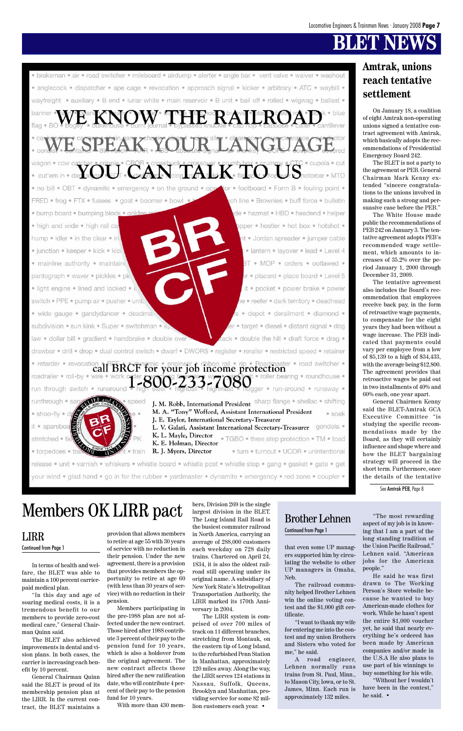## **BT NEW**

• brakeman • air • road switcher • mileboard • airdump • alerter • angle bar • vent valve • waiver • washout · anglecock · dispatcher · ape cage · revocation · approach signal · kicker · arbitrary · ATC · waybill · wayfreight . auxiliary . B end . lunar white . main reservoir . B unit . bail off . rolled . wigwag . ballast . banner W THERRATEROA flag  $\bullet$  B SPEAK YOUR LAN wagon  $FAI K$ tor . footboard . Form B . fouling point . . no bill . OBT . dynamite . emergency . on the ground . ope FRED . frog . FTX . fusees . goat . boomer . bowl ch line • Brownies • buff force • bulletin · bump board · bumping block · golde de · hazmat · HBD · headend · helper · high and wide · high rail ca opper . hostler . hot box . hotshot . hump • idler • in the clear • in nt · Jordan spreader · jumper cable · junction · keeper · kick · kicl · lantern · layover · lead · Level 4 BT . MOP . orders . outlawed . · mainline authority · maintaind er · placard · place board · Level 5 pantograph · waver · pickles · pic · light engine · lined and locked · it · pocket · power brake · power e · reefer · dark territory · deadhead switch . PPE . pump air . pusher . unit. · wide gauge · gandydancer · deadma. depot · derailment · diamond · subdivision · sun kink · Super · switchman · s er · target · diesel · distant signal · dog tack . double the hill . draft force . drag . law · dollar bill · gradient · handbrake · double over drawbar · drill · drop · dual control switch · dwarf · DWORS · register · rerailer · restricted speed · retainer • retarder • revocation all BRCF for your job income protection roadrailer · roll-by · wire • roller bearing • roundhouse • -800-233-7080 gger · run-around · runaway · run through switch runaround J. M. Robb, International President sharp flange . shellac . shifting runthrough • sa speed M. A. "Tony" Wofford, Assistant International President · shoo-fly · soak J. E. Taylor, International Secretary-Treasurer L. V. Galati, Assistant International Secretary-Treasurer gondola . it · spareboa K. L. Mayle, Director • TGBO • three step protection • TM • toad stretched • tie K. E. Holman, Director R. J. Myers, Director · turn · turnout · UCOR · unintentional · torpedoes Œ · train release · unit · varnish · whiskers · whistle board · whistle post · whistle stop · gang · gasket · gate · get

your wind . glad hand . go in for the rubber . yardmaster . dynamite . emergency . red zone . coupler

In terms of health and welfare, the BLET was able to maintain a 100 percent carrierpaid medical plan.

"In this day and age of soaring medical costs, it is a tremendous benefit to our members to provide zero-cost medical care," General Chairman Quinn said.

The BLET also achieved improvements in dental and vision plans. In both cases, the carrier is increasing each benefit by 10 percent.

General Chairman Quinn said the BLET is proud of its membership pension plan at the LIRR. In the current contract, the BLET maintains a

that even some UP managers supported him by circulating the website to other UP managers in Omaha, Neb.

The railroad community helped Brother Lehnen win the online voting contest and the \$1,000 gift certificate.

"I want to thank my wife for entering me into the contest and my union Brothers and Sisters who voted for me," he said.

A road engineer, Lehnen normally runs trains from St. Paul, Minn., to Mason City, Iowa, or to St. James, Minn. Each run is approximately 132 miles.

"The most rewarding aspect of my job is in knowing that I am a part of the long standing tradition of the Union Pacific Railroad," Lehnen said. "American jobs for the American people." He said he was first drawn to The Working Person's Store website because he wanted to buy American-made clothes for work. While he hasn't spent the entire \$1,000 voucher yet, he said that nearly everything he's ordered has been made by American companies and/or made in the U.S.A He also plans to use part of his winnings to buy something for his wife. "Without her I wouldn't have been in the contest," he said. •

provision that allows members

to retire at age 55 with 30 years of service with no reduction in their pension. Under the new agreement, there is a provision that provides members the opportunity to retire at age 60 (with less than 30 years of service) with no reduction in their pension.

Members participating in the pre-1988 plan are not affected under the new contract. Those hired after 1988 contribute 3 percent of their pay to the pension fund for 10 years, which is also a holdover from the original agreement. The new contract affects those hired after the new ratification date, who will contribute 4 percent of their pay to the pension fund for 10 years.

With more than 430 mem-

bers, Division 269 is the single largest division in the BLET. The Long Island Rail Road is the busiest commuter railroad in North America, carrying an average of 288,000 customers each weekday on 728 daily trains. Chartered on April 24, 1834, it is also the oldest railroad still operating under its original name. A subsidiary of New York State's Metropolitan Transportation Authority, the LIRR marked its 170th Anniversary in 2004. The LIRR system is comprised of over 700 miles of track on 11 different branches, stretching from Montauk, on the eastern tip of Long Island, to the refurbished Penn Station in Manhattan, approximately 120 miles away. Along the way, the LIRR serves 124 stations in Nassau, Suffolk, Queens, Brooklyn and Manhattan, providing service for some 82 million customers each year. •

LIRR

#### Continued from Page 1

Continued from Page 1

### **Amtrak, unions reach tentative settlement**

On January 18, a coalition of eight Amtrak non-operating unions signed a tentative contract agreement with Amtrak, which basically adopts the recommendations of Presidential Emergency Board 242.

The BLET is not a party to the agreement or PEB. General Chairman Mark Kenny extended "sincere congratulations to the unions involved in making such a strong and persuasive case before the PEB."

The White House made public the recommendations of PEB 242 on January 3. The tentative agreement adopts PEB's recommended wage settlement, which amounts to increases of 35.2% over the period January 1, 2000 through December 31, 2009.

The tentative agreement also includes the Board's recommendation that employees receive back pay, in the form of retroactive wage payments, to compensate for the eight years they had been without a wage increase. The PEB indicated that payments could vary per employee from a low of \$5,139 to a high of \$34,433, with the average being \$12,800. The agreement provides that retroactive wages be paid out in two installments of 40% and 60% each, one year apart.

General Chairmen Kenny said the BLET-Amtrak GCA Executive Committee "is studying the specific recommendations made by the Board, as they will certainly influence and shape where and how the BLET bargaining strategy will proceed in the short term. Furthermore, once the details of the tentative

See Amtrak PEB, Page 8

## Members OK LIRR pact Stargest division in the BLET.<br>The Long Island Rail Road is Brother Lehnen